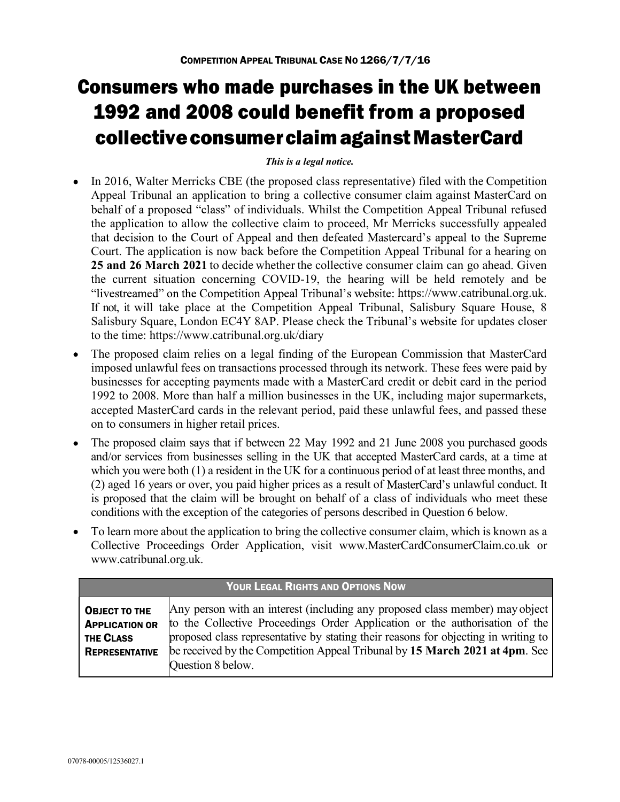## Consumers who made purchases in the UK between 1992 and 2008 could benefit from a proposed collective consumer claim against MasterCard

## This is a legal notice.

- In 2016, Walter Merricks CBE (the proposed class representative) filed with the Competition Appeal Tribunal an application to bring a collective consumer claim against MasterCard on behalf of a proposed "class" of individuals. Whilst the Competition Appeal Tribunal refused the application to allow the collective claim to proceed, Mr Merricks successfully appealed that decision to the Court of Appeal and then defeated Mastercard's appeal to the Supreme Court. The application is now back before the Competition Appeal Tribunal for a hearing on 25 and 26 March 2021 to decide whether the collective consumer claim can go ahead. Given the current situation concerning COVID-19, the hearing will be held remotely and be "livestreamed" on the Competition Appeal Tribunal's website: https://www.catribunal.org.uk. If not, it will take place at the Competition Appeal Tribunal, Salisbury Square House, 8 Salisbury Square, London EC4Y 8AP. Please check the Tribunal's website for updates closer to the time: https://www.catribunal.org.uk/diary The proposed claim relies on a legal finding of the European Commission that MasterCard
- imposed unlawful fees on transactions processed through its network. These fees were paid by businesses for accepting payments made with a MasterCard credit or debit card in the period 1992 to 2008. More than half a million businesses in the UK, including major supermarkets, accepted MasterCard cards in the relevant period, paid these unlawful fees, and passed these on to consumers in higher retail prices.
- The proposed claim says that if between 22 May 1992 and 21 June 2008 you purchased goods and/or services from businesses selling in the UK that accepted MasterCard cards, at a time at which you were both (1) a resident in the UK for a continuous period of at least three months, and (2) aged 16 years or over, you paid higher prices as a result of MasterCard's unlawful conduct. It is proposed that the claim will be brought on behalf of a class of individuals who meet these conditions with the exception of the categories of persons described in Question 6 below.
- To learn more about the application to bring the collective consumer claim, which is known as a Collective Proceedings Order Application, visit www.MasterCardConsumerClaim.co.uk or www.catribunal.org.uk.

| YOUR LEGAL RIGHTS AND OPTIONS NOW                                                                                                                                                                                                                                                                                                                                                                                                     |  |
|---------------------------------------------------------------------------------------------------------------------------------------------------------------------------------------------------------------------------------------------------------------------------------------------------------------------------------------------------------------------------------------------------------------------------------------|--|
| Any person with an interest (including any proposed class member) may object<br>OBJECT TO THE<br>to the Collective Proceedings Order Application or the authorisation of the<br><b>APPLICATION OR</b><br>proposed class representative by stating their reasons for objecting in writing to<br>THE CLASS<br>be received by the Competition Appeal Tribunal by 15 March 2021 at 4pm. See<br><b>REPRESENTATIVE</b><br>Question 8 below. |  |